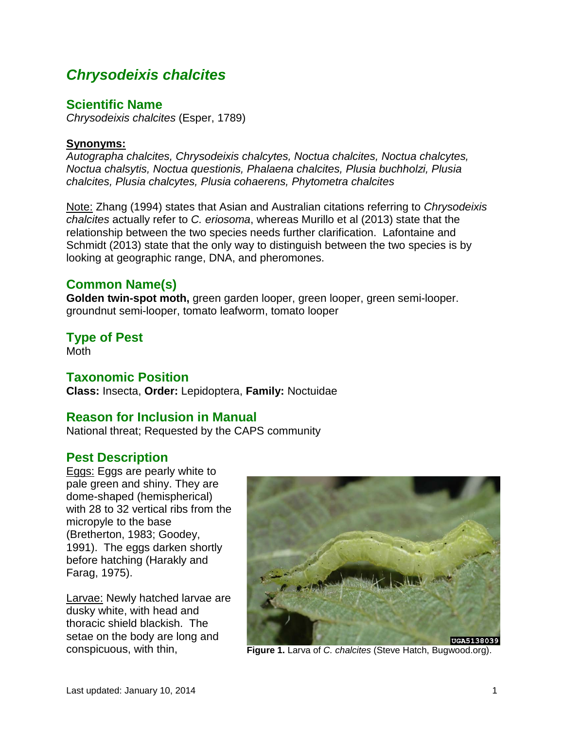# *Chrysodeixis chalcites*

### **Scientific Name**

*Chrysodeixis chalcites* (Esper, 1789)

### **Synonyms:**

*Autographa chalcites, Chrysodeixis chalcytes, Noctua chalcites, Noctua chalcytes, Noctua chalsytis, Noctua questionis, Phalaena chalcites, Plusia buchholzi, Plusia chalcites, Plusia chalcytes, Plusia cohaerens, Phytometra chalcites*

Note: Zhang (1994) states that Asian and Australian citations referring to *Chrysodeixis chalcites* actually refer to *C. eriosoma*, whereas Murillo et al (2013) state that the relationship between the two species needs further clarification. Lafontaine and Schmidt (2013) state that the only way to distinguish between the two species is by looking at geographic range, DNA, and pheromones.

# **Common Name(s)**

**Golden twin-spot moth,** green garden looper, green looper, green semi-looper. groundnut semi-looper, tomato leafworm, tomato looper

# **Type of Pest**

Moth

# **Taxonomic Position**

**Class:** Insecta, **Order:** Lepidoptera, **Family:** Noctuidae

# **Reason for Inclusion in Manual**

National threat; Requested by the CAPS community

# **Pest Description**

Eggs: Eggs are pearly white to pale green and shiny. They are dome-shaped (hemispherical) with 28 to 32 vertical ribs from the micropyle to the base (Bretherton, 1983; Goodey, 1991). The eggs darken shortly before hatching (Harakly and Farag, 1975).

Larvae: Newly hatched larvae are dusky white, with head and thoracic shield blackish. The setae on the body are long and



conspicuous, with thin, **Figure 1.** Larva of *C. chalcites* (Steve Hatch, Bugwood.org).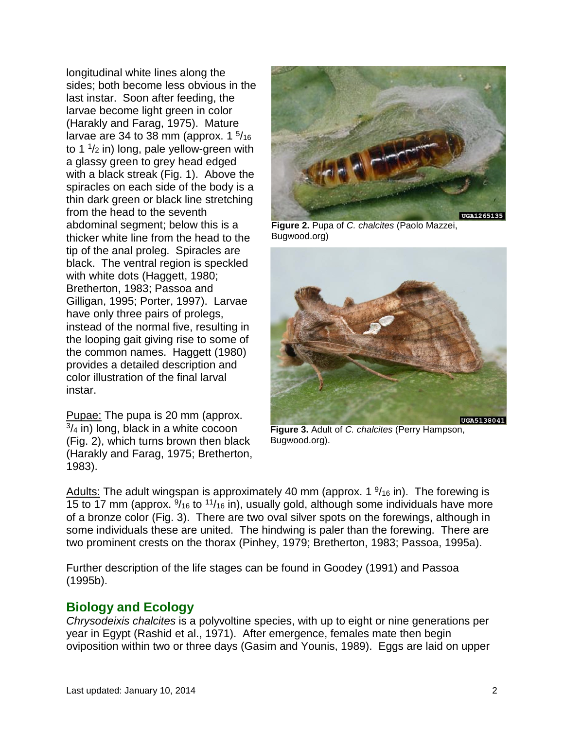longitudinal white lines along the sides; both become less obvious in the last instar. Soon after feeding, the larvae become light green in color (Harakly and Farag, 1975). Mature larvae are 34 to 38 mm (approx.  $1 \frac{5}{16}$ to 1  $\frac{1}{2}$  in) long, pale yellow-green with a glassy green to grey head edged with a black streak (Fig. 1). Above the spiracles on each side of the body is a thin dark green or black line stretching from the head to the seventh abdominal segment; below this is a thicker white line from the head to the tip of the anal proleg. Spiracles are black. The ventral region is speckled with white dots (Haggett, 1980; Bretherton, 1983; Passoa and Gilligan, 1995; Porter, 1997). Larvae have only three pairs of prolegs, instead of the normal five, resulting in the looping gait giving rise to some of the common names. Haggett (1980) provides a detailed description and color illustration of the final larval instar.

Pupae: The pupa is 20 mm (approx.  $3/4$  in) long, black in a white cocoon (Fig. 2), which turns brown then black (Harakly and Farag, 1975; Bretherton, 1983).



**Figure 2.** Pupa of *C. chalcites* (Paolo Mazzei, Bugwood.org)



**Figure 3.** Adult of *C. chalcites* (Perry Hampson, Bugwood.org).

Adults: The adult wingspan is approximately 40 mm (approx.  $1\frac{9}{16}$  in). The forewing is 15 to 17 mm (approx.  $\frac{9}{16}$  to  $\frac{11}{16}$  in), usually gold, although some individuals have more of a bronze color (Fig. 3). There are two oval silver spots on the forewings, although in some individuals these are united. The hindwing is paler than the forewing. There are two prominent crests on the thorax (Pinhey, 1979; Bretherton, 1983; Passoa, 1995a).

Further description of the life stages can be found in Goodey (1991) and Passoa (1995b).

# **Biology and Ecology**

*Chrysodeixis chalcites* is a polyvoltine species, with up to eight or nine generations per year in Egypt (Rashid et al., 1971). After emergence, females mate then begin oviposition within two or three days (Gasim and Younis, 1989). Eggs are laid on upper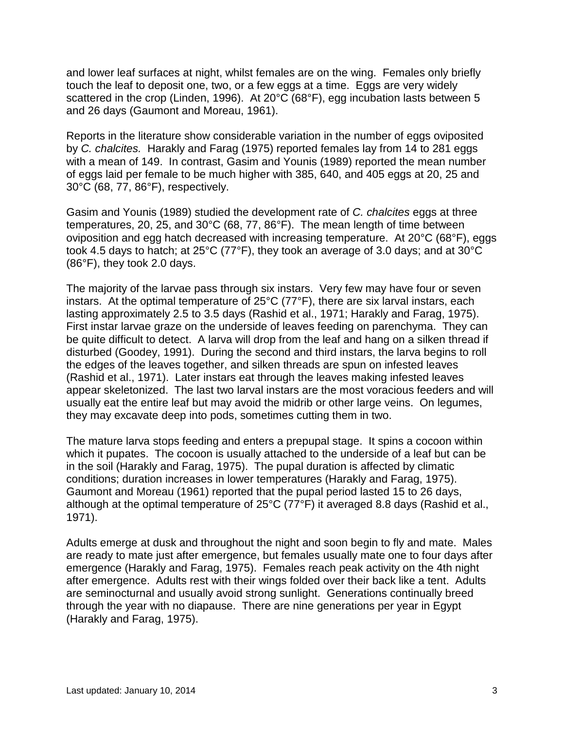and lower leaf surfaces at night, whilst females are on the wing. Females only briefly touch the leaf to deposit one, two, or a few eggs at a time. Eggs are very widely scattered in the crop (Linden, 1996). At 20°C (68°F), egg incubation lasts between 5 and 26 days (Gaumont and Moreau, 1961).

Reports in the literature show considerable variation in the number of eggs oviposited by *C. chalcites.* Harakly and Farag (1975) reported females lay from 14 to 281 eggs with a mean of 149. In contrast, Gasim and Younis (1989) reported the mean number of eggs laid per female to be much higher with 385, 640, and 405 eggs at 20, 25 and 30°C (68, 77, 86°F), respectively.

Gasim and Younis (1989) studied the development rate of *C. chalcites* eggs at three temperatures, 20, 25, and 30°C (68, 77, 86°F). The mean length of time between oviposition and egg hatch decreased with increasing temperature. At 20°C (68°F), eggs took 4.5 days to hatch; at 25°C (77°F), they took an average of 3.0 days; and at 30°C (86°F), they took 2.0 days.

The majority of the larvae pass through six instars. Very few may have four or seven instars. At the optimal temperature of 25°C (77°F), there are six larval instars, each lasting approximately 2.5 to 3.5 days (Rashid et al., 1971; Harakly and Farag, 1975). First instar larvae graze on the underside of leaves feeding on parenchyma. They can be quite difficult to detect. A larva will drop from the leaf and hang on a silken thread if disturbed (Goodey, 1991). During the second and third instars, the larva begins to roll the edges of the leaves together, and silken threads are spun on infested leaves (Rashid et al., 1971). Later instars eat through the leaves making infested leaves appear skeletonized. The last two larval instars are the most voracious feeders and will usually eat the entire leaf but may avoid the midrib or other large veins. On legumes, they may excavate deep into pods, sometimes cutting them in two.

The mature larva stops feeding and enters a prepupal stage. It spins a cocoon within which it pupates. The cocoon is usually attached to the underside of a leaf but can be in the soil (Harakly and Farag, 1975). The pupal duration is affected by climatic conditions; duration increases in lower temperatures (Harakly and Farag, 1975). Gaumont and Moreau (1961) reported that the pupal period lasted 15 to 26 days, although at the optimal temperature of 25°C (77°F) it averaged 8.8 days (Rashid et al., 1971).

Adults emerge at dusk and throughout the night and soon begin to fly and mate. Males are ready to mate just after emergence, but females usually mate one to four days after emergence (Harakly and Farag, 1975). Females reach peak activity on the 4th night after emergence. Adults rest with their wings folded over their back like a tent. Adults are seminocturnal and usually avoid strong sunlight. Generations continually breed through the year with no diapause. There are nine generations per year in Egypt (Harakly and Farag, 1975).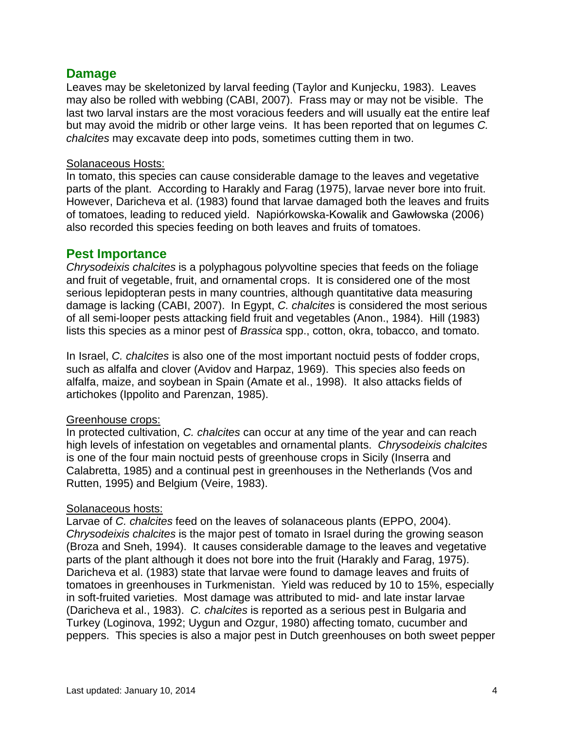### **Damage**

Leaves may be skeletonized by larval feeding (Taylor and Kunjecku, 1983). Leaves may also be rolled with webbing (CABI, 2007). Frass may or may not be visible. The last two larval instars are the most voracious feeders and will usually eat the entire leaf but may avoid the midrib or other large veins. It has been reported that on legumes *C. chalcites* may excavate deep into pods, sometimes cutting them in two.

### Solanaceous Hosts:

In tomato, this species can cause considerable damage to the leaves and vegetative parts of the plant. According to Harakly and Farag (1975), larvae never bore into fruit. However, Daricheva et al. (1983) found that larvae damaged both the leaves and fruits of tomatoes, leading to reduced yield. Napiórkowska-Kowalik and Gawłowska (2006) also recorded this species feeding on both leaves and fruits of tomatoes.

### **Pest Importance**

*Chrysodeixis chalcites* is a polyphagous polyvoltine species that feeds on the foliage and fruit of vegetable, fruit, and ornamental crops. It is considered one of the most serious lepidopteran pests in many countries, although quantitative data measuring damage is lacking (CABI, 2007). In Egypt, *C. chalcites* is considered the most serious of all semi-looper pests attacking field fruit and vegetables (Anon., 1984). Hill (1983) lists this species as a minor pest of *Brassica* spp., cotton, okra, tobacco, and tomato.

In Israel, *C. chalcites* is also one of the most important noctuid pests of fodder crops, such as alfalfa and clover (Avidov and Harpaz, 1969). This species also feeds on alfalfa, maize, and soybean in Spain (Amate et al., 1998). It also attacks fields of artichokes (Ippolito and Parenzan, 1985).

### Greenhouse crops:

In protected cultivation, *C. chalcites* can occur at any time of the year and can reach high levels of infestation on vegetables and ornamental plants. *Chrysodeixis chalcites*  is one of the four main noctuid pests of greenhouse crops in Sicily (Inserra and Calabretta, 1985) and a continual pest in greenhouses in the Netherlands (Vos and Rutten, 1995) and Belgium (Veire, 1983).

### Solanaceous hosts:

Larvae of *C. chalcites* feed on the leaves of solanaceous plants (EPPO, 2004). *Chrysodeixis chalcites* is the major pest of tomato in Israel during the growing season (Broza and Sneh, 1994). It causes considerable damage to the leaves and vegetative parts of the plant although it does not bore into the fruit (Harakly and Farag, 1975). Daricheva et al. (1983) state that larvae were found to damage leaves and fruits of tomatoes in greenhouses in Turkmenistan. Yield was reduced by 10 to 15%, especially in soft-fruited varieties. Most damage was attributed to mid- and late instar larvae (Daricheva et al., 1983). *C. chalcites* is reported as a serious pest in Bulgaria and Turkey (Loginova, 1992; Uygun and Ozgur, 1980) affecting tomato, cucumber and peppers. This species is also a major pest in Dutch greenhouses on both sweet pepper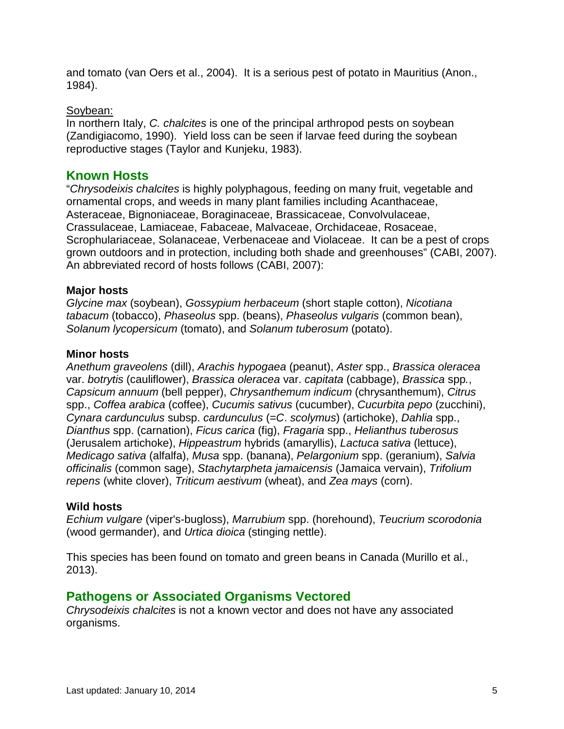and tomato (van Oers et al., 2004). It is a serious pest of potato in Mauritius (Anon., 1984).

### Soybean:

In northern Italy, *C. chalcites* is one of the principal arthropod pests on soybean (Zandigiacomo, 1990). Yield loss can be seen if larvae feed during the soybean reproductive stages (Taylor and Kunjeku, 1983).

### **Known Hosts**

"*Chrysodeixis chalcites* is highly polyphagous, feeding on many fruit, vegetable and ornamental crops, and weeds in many plant families including Acanthaceae, Asteraceae, Bignoniaceae, Boraginaceae, Brassicaceae, Convolvulaceae, Crassulaceae, Lamiaceae, Fabaceae, Malvaceae, Orchidaceae, Rosaceae, Scrophulariaceae, Solanaceae, Verbenaceae and Violaceae. It can be a pest of crops grown outdoors and in protection, including both shade and greenhouses" (CABI, 2007). An abbreviated record of hosts follows (CABI, 2007):

#### **Major hosts**

*Glycine max* (soybean), *Gossypium herbaceum* (short staple cotton), *Nicotiana tabacum* (tobacco), *Phaseolus* spp. (beans), *Phaseolus vulgaris* (common bean), *Solanum lycopersicum* (tomato), and *Solanum tuberosum* (potato).

#### **Minor hosts**

*Anethum graveolens* (dill), *Arachis hypogaea* (peanut), *Aster* spp., *Brassica oleracea*  var. *botrytis* (cauliflower), *Brassica oleracea* var. *capitata* (cabbage), *Brassica* spp*.*, *Capsicum annuum* (bell pepper), *Chrysanthemum indicum* (chrysanthemum), *Citrus* spp., *Coffea arabica* (coffee), *Cucumis sativus* (cucumber), *Cucurbita pepo* (zucchini), *Cynara cardunculus* subsp. *cardunculus* (=*C*. *scolymus*) (artichoke), *Dahlia* spp., *Dianthus* spp. (carnation), *Ficus carica* (fig), *Fragaria* spp., *Helianthus tuberosus*  (Jerusalem artichoke), *Hippeastrum* hybrids (amaryllis), *Lactuca sativa* (lettuce), *Medicago sativa* (alfalfa), *Musa* spp. (banana), *Pelargonium* spp. (geranium), *Salvia officinalis* (common sage), *Stachytarpheta jamaicensis* (Jamaica vervain), *Trifolium repens* (white clover), *Triticum aestivum* (wheat), and *Zea mays* (corn).

#### **Wild hosts**

*Echium vulgare* (viper's-bugloss), *Marrubium* spp. (horehound), *Teucrium scorodonia* (wood germander), and *Urtica dioica* (stinging nettle).

This species has been found on tomato and green beans in Canada (Murillo et al., 2013).

### **Pathogens or Associated Organisms Vectored**

*Chrysodeixis chalcites* is not a known vector and does not have any associated organisms.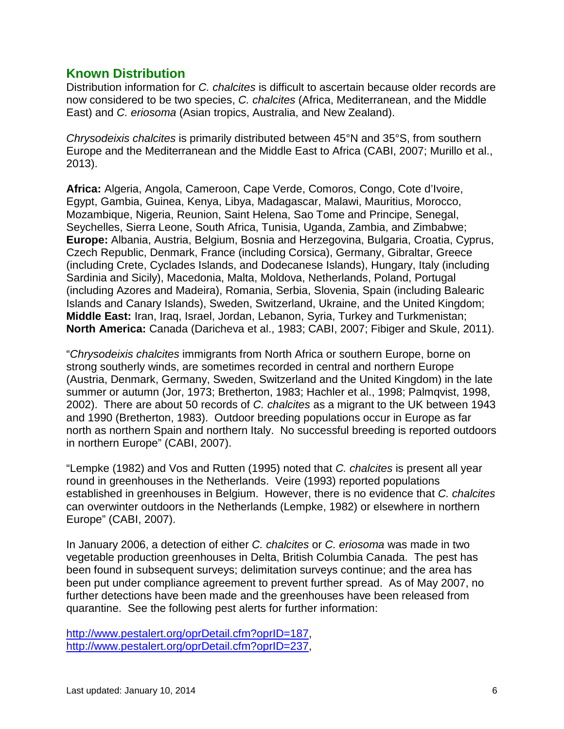### **Known Distribution**

Distribution information for *C. chalcites* is difficult to ascertain because older records are now considered to be two species, *C. chalcites* (Africa, Mediterranean, and the Middle East) and *C. eriosoma* (Asian tropics, Australia, and New Zealand).

*Chrysodeixis chalcites* is primarily distributed between 45°N and 35°S, from southern Europe and the Mediterranean and the Middle East to Africa (CABI, 2007; Murillo et al., 2013).

**Africa:** Algeria, Angola, Cameroon, Cape Verde, Comoros, Congo, Cote d'Ivoire, Egypt, Gambia, Guinea, Kenya, Libya, Madagascar, Malawi, Mauritius, Morocco, Mozambique, Nigeria, Reunion, Saint Helena, Sao Tome and Principe, Senegal, Seychelles, Sierra Leone, South Africa, Tunisia, Uganda, Zambia, and Zimbabwe; **Europe:** Albania, Austria, Belgium, Bosnia and Herzegovina, Bulgaria, Croatia, Cyprus, Czech Republic, Denmark, France (including Corsica), Germany, Gibraltar, Greece (including Crete, Cyclades Islands, and Dodecanese Islands), Hungary, Italy (including Sardinia and Sicily), Macedonia, Malta, Moldova, Netherlands, Poland, Portugal (including Azores and Madeira), Romania, Serbia, Slovenia, Spain (including Balearic Islands and Canary Islands), Sweden, Switzerland, Ukraine, and the United Kingdom; **Middle East:** Iran, Iraq, Israel, Jordan, Lebanon, Syria, Turkey and Turkmenistan; **North America:** Canada (Daricheva et al., 1983; CABI, 2007; Fibiger and Skule, 2011).

"*Chrysodeixis chalcites* immigrants from North Africa or southern Europe, borne on strong southerly winds, are sometimes recorded in central and northern Europe (Austria, Denmark, Germany, Sweden, Switzerland and the United Kingdom) in the late summer or autumn (Jor, 1973; Bretherton, 1983; Hachler et al., 1998; Palmqvist, 1998, 2002). There are about 50 records of *C. chalcites* as a migrant to the UK between 1943 and 1990 (Bretherton, 1983). Outdoor breeding populations occur in Europe as far north as northern Spain and northern Italy. No successful breeding is reported outdoors in northern Europe" (CABI, 2007).

"Lempke (1982) and Vos and Rutten (1995) noted that *C. chalcites* is present all year round in greenhouses in the Netherlands. Veire (1993) reported populations established in greenhouses in Belgium. However, there is no evidence that *C. chalcites*  can overwinter outdoors in the Netherlands (Lempke, 1982) or elsewhere in northern Europe" (CABI, 2007).

In January 2006, a detection of either *C. chalcites* or *C. eriosoma* was made in two vegetable production greenhouses in Delta, British Columbia Canada. The pest has been found in subsequent surveys; delimitation surveys continue; and the area has been put under compliance agreement to prevent further spread. As of May 2007, no further detections have been made and the greenhouses have been released from quarantine. See the following pest alerts for further information:

[http://www.pestalert.org/oprDetail.cfm?oprID=187,](http://www.pestalert.org/oprDetail.cfm?oprID=187) [http://www.pestalert.org/oprDetail.cfm?oprID=237,](http://www.pestalert.org/oprDetail.cfm?oprID=237)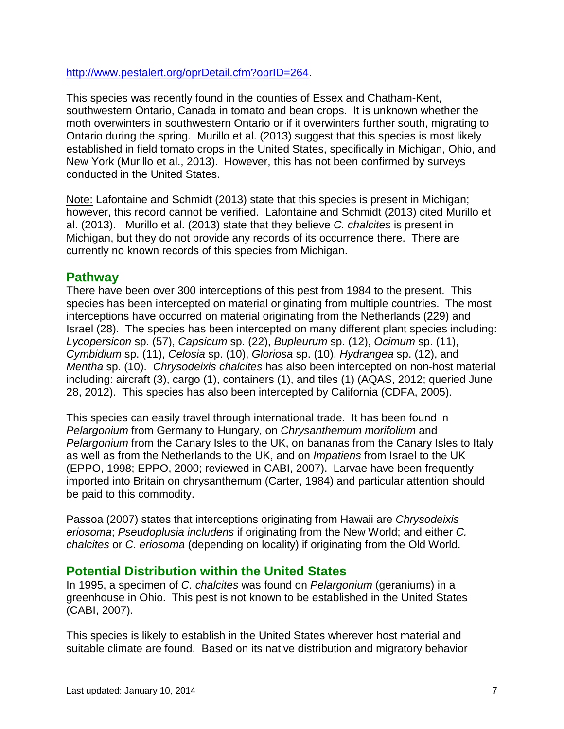[http://www.pestalert.org/oprDetail.cfm?oprID=264.](http://www.pestalert.org/oprDetail.cfm?oprID=264)

This species was recently found in the counties of Essex and Chatham-Kent, southwestern Ontario, Canada in tomato and bean crops. It is unknown whether the moth overwinters in southwestern Ontario or if it overwinters further south, migrating to Ontario during the spring. Murillo et al. (2013) suggest that this species is most likely established in field tomato crops in the United States, specifically in Michigan, Ohio, and New York (Murillo et al., 2013). However, this has not been confirmed by surveys conducted in the United States.

Note: Lafontaine and Schmidt (2013) state that this species is present in Michigan; however, this record cannot be verified. Lafontaine and Schmidt (2013) cited Murillo et al. (2013). Murillo et al. (2013) state that they believe *C. chalcites* is present in Michigan, but they do not provide any records of its occurrence there. There are currently no known records of this species from Michigan.

# **Pathway**

There have been over 300 interceptions of this pest from 1984 to the present. This species has been intercepted on material originating from multiple countries. The most interceptions have occurred on material originating from the Netherlands (229) and Israel (28). The species has been intercepted on many different plant species including: *Lycopersicon* sp. (57), *Capsicum* sp. (22), *Bupleurum* sp. (12), *Ocimum* sp. (11), *Cymbidium* sp. (11), *Celosia* sp. (10), *Gloriosa* sp. (10), *Hydrangea* sp. (12), and *Mentha* sp. (10). *Chrysodeixis chalcites* has also been intercepted on non-host material including: aircraft (3), cargo (1), containers (1), and tiles (1) (AQAS, 2012; queried June 28, 2012). This species has also been intercepted by California (CDFA, 2005).

This species can easily travel through international trade. It has been found in *Pelargonium* from Germany to Hungary, on *Chrysanthemum morifolium* and *Pelargonium* from the Canary Isles to the UK, on bananas from the Canary Isles to Italy as well as from the Netherlands to the UK, and on *Impatiens* from Israel to the UK (EPPO, 1998; EPPO, 2000; reviewed in CABI, 2007). Larvae have been frequently imported into Britain on chrysanthemum (Carter, 1984) and particular attention should be paid to this commodity.

Passoa (2007) states that interceptions originating from Hawaii are *Chrysodeixis eriosoma*; *Pseudoplusia includens* if originating from the New World; and either *C. chalcites* or *C. eriosoma* (depending on locality) if originating from the Old World.

# **Potential Distribution within the United States**

In 1995, a specimen of *C. chalcites* was found on *Pelargonium* (geraniums) in a greenhouse in Ohio. This pest is not known to be established in the United States (CABI, 2007).

This species is likely to establish in the United States wherever host material and suitable climate are found. Based on its native distribution and migratory behavior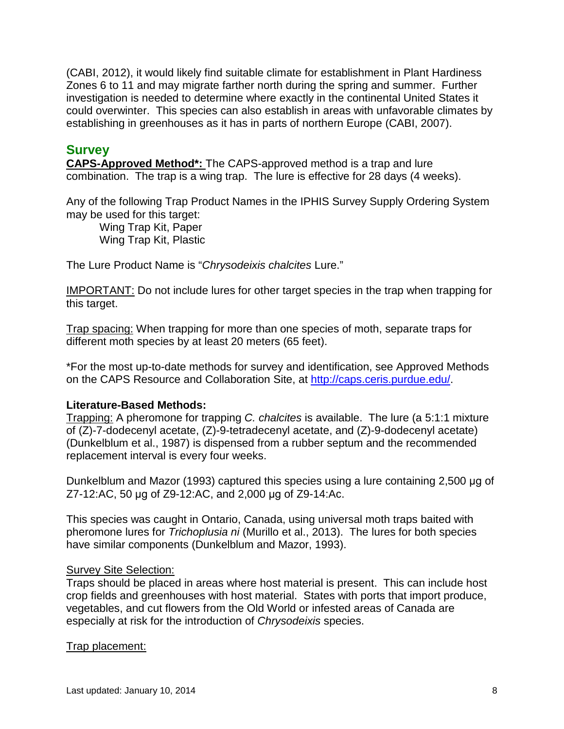(CABI, 2012), it would likely find suitable climate for establishment in Plant Hardiness Zones 6 to 11 and may migrate farther north during the spring and summer. Further investigation is needed to determine where exactly in the continental United States it could overwinter. This species can also establish in areas with unfavorable climates by establishing in greenhouses as it has in parts of northern Europe (CABI, 2007).

### **Survey**

**CAPS-Approved Method\*:** The CAPS-approved method is a trap and lure combination. The trap is a wing trap. The lure is effective for 28 days (4 weeks).

Any of the following Trap Product Names in the IPHIS Survey Supply Ordering System may be used for this target:

Wing Trap Kit, Paper Wing Trap Kit, Plastic

The Lure Product Name is "*Chrysodeixis chalcites* Lure."

IMPORTANT: Do not include lures for other target species in the trap when trapping for this target.

Trap spacing: When trapping for more than one species of moth, separate traps for different moth species by at least 20 meters (65 feet).

\*For the most up-to-date methods for survey and identification, see Approved Methods on the CAPS Resource and Collaboration Site, at http://caps.ceris.purdue.edu/.

### **Literature-Based Methods:**

Trapping: A pheromone for trapping *C. chalcites* is available. The lure (a 5:1:1 mixture of (Z)-7-dodecenyl acetate, (Z)-9-tetradecenyl acetate, and (Z)-9-dodecenyl acetate) (Dunkelblum et al., 1987) is dispensed from a rubber septum and the recommended replacement interval is every four weeks.

Dunkelblum and Mazor (1993) captured this species using a lure containing 2,500 μg of Z7-12:AC, 50 μg of Z9-12:AC, and 2,000 μg of Z9-14:Ac.

This species was caught in Ontario, Canada, using universal moth traps baited with pheromone lures for *Trichoplusia ni* (Murillo et al., 2013). The lures for both species have similar components (Dunkelblum and Mazor, 1993).

### Survey Site Selection:

Traps should be placed in areas where host material is present. This can include host crop fields and greenhouses with host material. States with ports that import produce, vegetables, and cut flowers from the Old World or infested areas of Canada are especially at risk for the introduction of *Chrysodeixis* species.

### Trap placement: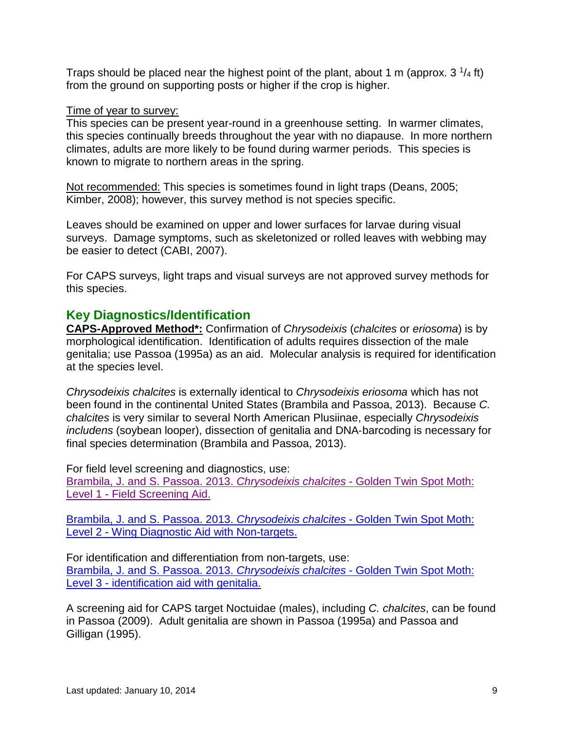Traps should be placed near the highest point of the plant, about 1 m (approx. 3  $\frac{1}{4}$  ft) from the ground on supporting posts or higher if the crop is higher.

#### Time of year to survey:

This species can be present year-round in a greenhouse setting. In warmer climates, this species continually breeds throughout the year with no diapause. In more northern climates, adults are more likely to be found during warmer periods. This species is known to migrate to northern areas in the spring.

Not recommended: This species is sometimes found in light traps (Deans, 2005; Kimber, 2008); however, this survey method is not species specific.

Leaves should be examined on upper and lower surfaces for larvae during visual surveys. Damage symptoms, such as skeletonized or rolled leaves with webbing may be easier to detect (CABI, 2007).

For CAPS surveys, light traps and visual surveys are not approved survey methods for this species.

# **Key Diagnostics/Identification**

**CAPS-Approved Method\*:** Confirmation of *Chrysodeixis* (*chalcites* or *eriosoma*) is by morphological identification. Identification of adults requires dissection of the male genitalia; use Passoa (1995a) as an aid. Molecular analysis is required for identification at the species level.

*Chrysodeixis chalcites* is externally identical to *Chrysodeixis eriosoma* which has not been found in the continental United States (Brambila and Passoa, 2013). Because *C. chalcites* is very similar to several North American Plusiinae, especially *Chrysodeixis includens* (soybean looper), dissection of genitalia and DNA‐barcoding is necessary for final species determination (Brambila and Passoa, 2013).

For field level screening and diagnostics, use:

[Brambila, J. and S. Passoa. 2013.](http://caps.ceris.purdue.edu/dmm/2126) *Chrysodeixis chalcites* - Golden Twin Spot Moth: Level 1 - [Field Screening Aid.](http://caps.ceris.purdue.edu/dmm/2126)

[Brambila, J. and S. Passoa. 2013.](http://caps.ceris.purdue.edu/dmm/2129) *Chrysodeixis chalcites* - Golden Twin Spot Moth: Level 2 - [Wing Diagnostic Aid with Non-targets.](http://caps.ceris.purdue.edu/dmm/2129)

For identification and differentiation from non-targets, use: [Brambila, J. and S. Passoa. 2013.](http://caps.ceris.purdue.edu/webfm_send/2130) *Chrysodeixis chalcites* - Golden Twin Spot Moth: Level 3 - [identification aid with genitalia.](http://caps.ceris.purdue.edu/webfm_send/2130)

A screening aid for CAPS target Noctuidae (males), including *C. chalcites*, can be found in Passoa (2009). Adult genitalia are shown in Passoa (1995a) and Passoa and Gilligan (1995).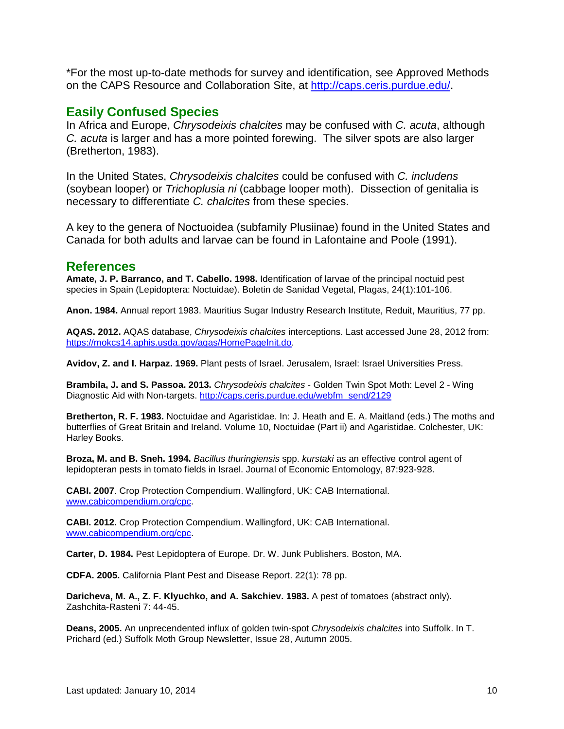\*For the most up-to-date methods for survey and identification, see Approved Methods on the CAPS Resource and Collaboration Site, at http://caps.ceris.purdue.edu/.

### **Easily Confused Species**

In Africa and Europe, *Chrysodeixis chalcites* may be confused with *C. acuta*, although *C. acuta* is larger and has a more pointed forewing. The silver spots are also larger (Bretherton, 1983).

In the United States, *Chrysodeixis chalcites* could be confused with *C. includens* (soybean looper) or *Trichoplusia ni* (cabbage looper moth). Dissection of genitalia is necessary to differentiate *C. chalcites* from these species.

A key to the genera of Noctuoidea (subfamily Plusiinae) found in the United States and Canada for both adults and larvae can be found in Lafontaine and Poole (1991).

### **References**

**Amate, J. P. Barranco, and T. Cabello. 1998.** Identification of larvae of the principal noctuid pest species in Spain (Lepidoptera: Noctuidae). Boletin de Sanidad Vegetal, Plagas, 24(1):101-106.

**Anon. 1984.** Annual report 1983. Mauritius Sugar Industry Research Institute, Reduit, Mauritius, 77 pp.

**AQAS. 2012.** AQAS database, *Chrysodeixis chalcites* interceptions. Last accessed June 28, 2012 from: https://mokcs14.aphis.usda.gov/agas/HomePageInit.do.

**Avidov, Z. and I. Harpaz. 1969.** Plant pests of Israel. Jerusalem, Israel: Israel Universities Press.

**Brambila, J. and S. Passoa. 2013.** *Chrysodeixis chalcites* - Golden Twin Spot Moth: Level 2 - Wing Diagnostic Aid with Non-targets. [http://caps.ceris.purdue.edu/webfm\\_send/2129](http://caps.ceris.purdue.edu/webfm_send/2129)

**Bretherton, R. F. 1983.** Noctuidae and Agaristidae. In: J. Heath and E. A. Maitland (eds.) The moths and butterflies of Great Britain and Ireland. Volume 10, Noctuidae (Part ii) and Agaristidae. Colchester, UK: Harley Books.

**Broza, M. and B. Sneh. 1994.** *Bacillus thuringiensis* spp. *kurstaki* as an effective control agent of lepidopteran pests in tomato fields in Israel. Journal of Economic Entomology, 87:923-928.

**CABI. 2007**. Crop Protection Compendium. Wallingford, UK: CAB International. [www.cabicompendium.org/cpc.](http://www.cabicompendium.org/cpc)

**CABI. 2012.** Crop Protection Compendium. Wallingford, UK: CAB International. [www.cabicompendium.org/cpc.](http://www.cabicompendium.org/cpc)

**Carter, D. 1984.** Pest Lepidoptera of Europe. Dr. W. Junk Publishers. Boston, MA.

**CDFA. 2005.** California Plant Pest and Disease Report. 22(1): 78 pp.

**Daricheva, M. A., Z. F. Klyuchko, and A. Sakchiev. 1983.** A pest of tomatoes (abstract only). Zashchita-Rasteni 7: 44-45.

**Deans, 2005.** An unprecendented influx of golden twin-spot *Chrysodeixis chalcites* into Suffolk. In T. Prichard (ed.) Suffolk Moth Group Newsletter, Issue 28, Autumn 2005.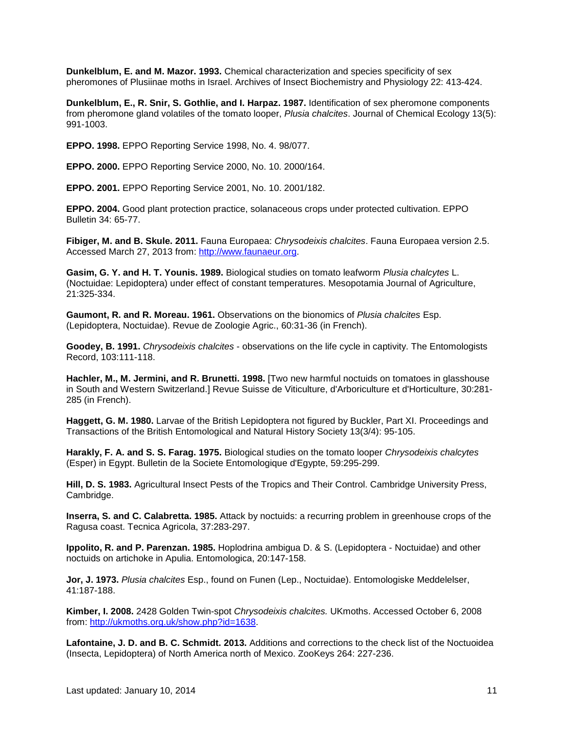**Dunkelblum, E. and M. Mazor. 1993.** Chemical characterization and species specificity of sex pheromones of Plusiinae moths in Israel. Archives of Insect Biochemistry and Physiology 22: 413-424.

**Dunkelblum, E., R. Snir, S. Gothlie, and I. Harpaz. 1987.** Identification of sex pheromone components from pheromone gland volatiles of the tomato looper, *Plusia chalcites*. Journal of Chemical Ecology 13(5): 991-1003.

**EPPO. 1998.** EPPO Reporting Service 1998, No. 4. 98/077.

**EPPO. 2000.** EPPO Reporting Service 2000, No. 10. 2000/164.

**EPPO. 2001.** EPPO Reporting Service 2001, No. 10. 2001/182.

**EPPO. 2004.** Good plant protection practice, solanaceous crops under protected cultivation. EPPO Bulletin 34: 65-77.

**Fibiger, M. and B. Skule. 2011.** Fauna Europaea: *Chrysodeixis chalcites*. Fauna Europaea version 2.5. Accessed March 27, 2013 from: [http://www.faunaeur.org.](http://www.faunaeur.org/)

**Gasim, G. Y. and H. T. Younis. 1989.** Biological studies on tomato leafworm *Plusia chalcytes* L. (Noctuidae: Lepidoptera) under effect of constant temperatures. Mesopotamia Journal of Agriculture, 21:325-334.

**Gaumont, R. and R. Moreau. 1961.** Observations on the bionomics of *Plusia chalcites* Esp. (Lepidoptera, Noctuidae). Revue de Zoologie Agric., 60:31-36 (in French).

**Goodey, B. 1991.** *Chrysodeixis chalcites* - observations on the life cycle in captivity. The Entomologists Record, 103:111-118.

**Hachler, M., M. Jermini, and R. Brunetti. 1998.** [Two new harmful noctuids on tomatoes in glasshouse in South and Western Switzerland.] Revue Suisse de Viticulture, d'Arboriculture et d'Horticulture, 30:281- 285 (in French).

**Haggett, G. M. 1980.** Larvae of the British Lepidoptera not figured by Buckler, Part XI. Proceedings and Transactions of the British Entomological and Natural History Society 13(3/4): 95-105.

**Harakly, F. A. and S. S. Farag. 1975.** Biological studies on the tomato looper *Chrysodeixis chalcytes* (Esper) in Egypt. Bulletin de la Societe Entomologique d'Egypte, 59:295-299.

**Hill, D. S. 1983.** Agricultural Insect Pests of the Tropics and Their Control. Cambridge University Press, Cambridge.

**Inserra, S. and C. Calabretta. 1985.** Attack by noctuids: a recurring problem in greenhouse crops of the Ragusa coast. Tecnica Agricola, 37:283-297.

**Ippolito, R. and P. Parenzan. 1985.** Hoplodrina ambigua D. & S. (Lepidoptera - Noctuidae) and other noctuids on artichoke in Apulia. Entomologica, 20:147-158.

**Jor, J. 1973.** *Plusia chalcites* Esp., found on Funen (Lep., Noctuidae). Entomologiske Meddelelser, 41:187-188.

**Kimber, I. 2008.** 2428 Golden Twin-spot *Chrysodeixis chalcites.* UKmoths. Accessed October 6, 2008 from: [http://ukmoths.org.uk/show.php?id=1638.](http://ukmoths.org.uk/show.php?id=1638)

**Lafontaine, J. D. and B. C. Schmidt. 2013.** Additions and corrections to the check list of the Noctuoidea (Insecta, Lepidoptera) of North America north of Mexico. ZooKeys 264: 227-236.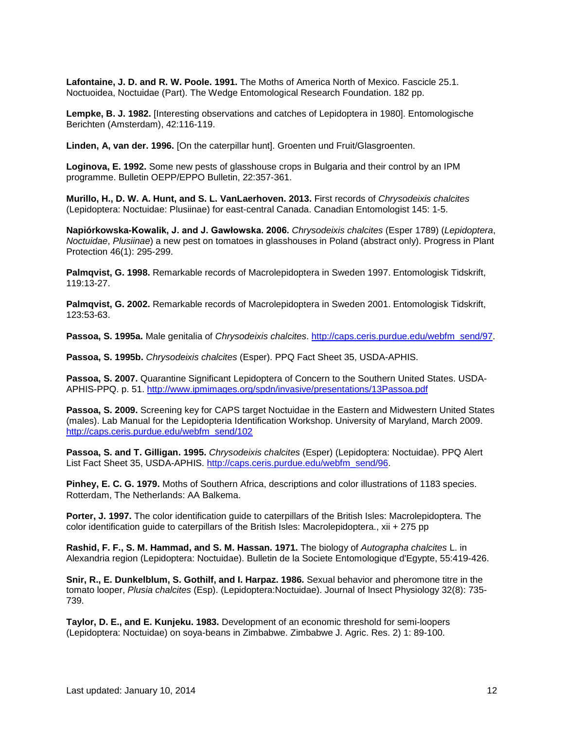**Lafontaine, J. D. and R. W. Poole. 1991.** The Moths of America North of Mexico. Fascicle 25.1. Noctuoidea, Noctuidae (Part). The Wedge Entomological Research Foundation. 182 pp.

**Lempke, B. J. 1982.** [Interesting observations and catches of Lepidoptera in 1980]. Entomologische Berichten (Amsterdam), 42:116-119.

**Linden, A, van der. 1996.** [On the caterpillar hunt]. Groenten und Fruit/Glasgroenten.

**Loginova, E. 1992.** Some new pests of glasshouse crops in Bulgaria and their control by an IPM programme. Bulletin OEPP/EPPO Bulletin, 22:357-361.

**Murillo, H., D. W. A. Hunt, and S. L. VanLaerhoven. 2013.** First records of *Chrysodeixis chalcites* (Lepidoptera: Noctuidae: Plusiinae) for east-central Canada. Canadian Entomologist 145: 1-5.

**Napiórkowska-Kowalik, J. and J. Gawłowska. 2006.** *Chrysodeixis chalcites* (Esper 1789) (*Lepidoptera*, *Noctuidae*, *Plusiinae*) a new pest on tomatoes in glasshouses in Poland (abstract only). Progress in Plant Protection 46(1): 295-299.

**Palmqvist, G. 1998.** Remarkable records of Macrolepidoptera in Sweden 1997. Entomologisk Tidskrift, 119:13-27.

**Palmqvist, G. 2002.** Remarkable records of Macrolepidoptera in Sweden 2001. Entomologisk Tidskrift, 123:53-63.

**Passoa, S. 1995a.** Male genitalia of *Chrysodeixis chalcites*. [http://caps.ceris.purdue.edu/webfm\\_send/97.](http://caps.ceris.purdue.edu/webfm_send/97)

**Passoa, S. 1995b.** *Chrysodeixis chalcites* (Esper). PPQ Fact Sheet 35, USDA-APHIS.

**Passoa, S. 2007.** Quarantine Significant Lepidoptera of Concern to the Southern United States. USDA-APHIS-PPQ. p. 51. <http://www.ipmimages.org/spdn/invasive/presentations/13Passoa.pdf>

**Passoa, S. 2009.** Screening key for CAPS target Noctuidae in the Eastern and Midwestern United States (males). Lab Manual for the Lepidopteria Identification Workshop. University of Maryland, March 2009. [http://caps.ceris.purdue.edu/webfm\\_send/102](http://caps.ceris.purdue.edu/webfm_send/102)

**Passoa, S. and T. Gilligan. 1995.** *Chrysodeixis chalcites* (Esper) (Lepidoptera: Noctuidae). PPQ Alert List Fact Sheet 35, USDA-APHIS. [http://caps.ceris.purdue.edu/webfm\\_send/96.](http://caps.ceris.purdue.edu/webfm_send/96)

**Pinhey, E. C. G. 1979.** Moths of Southern Africa, descriptions and color illustrations of 1183 species. Rotterdam, The Netherlands: AA Balkema.

**Porter, J. 1997.** The color identification guide to caterpillars of the British Isles: Macrolepidoptera. The color identification guide to caterpillars of the British Isles: Macrolepidoptera., xii + 275 pp

**Rashid, F. F., S. M. Hammad, and S. M. Hassan. 1971.** The biology of *Autographa chalcites* L. in Alexandria region (Lepidoptera: Noctuidae). Bulletin de la Societe Entomologique d'Egypte, 55:419-426.

**Snir, R., E. Dunkelblum, S. Gothilf, and I. Harpaz. 1986.** Sexual behavior and pheromone titre in the tomato looper, *Plusia chalcites* (Esp). (Lepidoptera:Noctuidae). Journal of Insect Physiology 32(8): 735- 739.

**Taylor, D. E., and E. Kunjeku. 1983.** Development of an economic threshold for semi-loopers (Lepidoptera: Noctuidae) on soya-beans in Zimbabwe. Zimbabwe J. Agric. Res. 2) 1: 89-100.